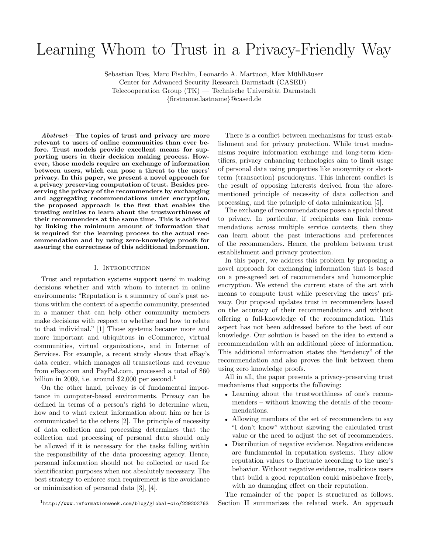# Learning Whom to Trust in a Privacy-Friendly Way

Sebastian Ries, Marc Fischlin, Leonardo A. Martucci, Max Mühlhäuser

Center for Advanced Security Research Darmstadt (CASED)

Telecooperation Group  $(TK)$  — Technische Universität Darmstadt

{firstname.lastname}@cased.de

Abstract—The topics of trust and privacy are more relevant to users of online communities than ever before. Trust models provide excellent means for supporting users in their decision making process. However, those models require an exchange of information between users, which can pose a threat to the users' privacy. In this paper, we present a novel approach for a privacy preserving computation of trust. Besides preserving the privacy of the recommenders by exchanging and aggregating recommendations under encryption, the proposed approach is the first that enables the trusting entities to learn about the trustworthiness of their recommenders at the same time. This is achieved by linking the minimum amount of information that is required for the learning process to the actual recommendation and by using zero-knowledge proofs for assuring the correctness of this additional information.

#### I. INTRODUCTION

Trust and reputation systems support users' in making decisions whether and with whom to interact in online environments: "Reputation is a summary of one's past actions within the context of a specific community, presented in a manner that can help other community members make decisions with respect to whether and how to relate to that individual." [1] Those systems became more and more important and ubiquitous in eCommerce, virtual communities, virtual organizations, and in Internet of Services. For example, a recent study shows that eBay's data center, which manages all transactions and revenue from eBay.com and PayPal.com, processed a total of \$60 billion in 2009, i.e. around \$2,000 per second.<sup>1</sup>

On the other hand, privacy is of fundamental importance in computer-based environments. Privacy can be defined in terms of a person's right to determine when, how and to what extent information about him or her is communicated to the others [2]. The principle of necessity of data collection and processing determines that the collection and processing of personal data should only be allowed if it is necessary for the tasks falling within the responsibility of the data processing agency. Hence, personal information should not be collected or used for identification purposes when not absolutely necessary. The best strategy to enforce such requirement is the avoidance or minimization of personal data [3], [4].

<sup>1</sup>http://www.informationweek.com/blog/global-cio/229202763

There is a conflict between mechanisms for trust establishment and for privacy protection. While trust mechanisms require information exchange and long-term identifiers, privacy enhancing technologies aim to limit usage of personal data using properties like anonymity or shortterm (transaction) pseudonyms. This inherent conflict is the result of opposing interests derived from the aforementioned principle of necessity of data collection and processing, and the principle of data minimization [5].

The exchange of recommendations poses a special threat to privacy. In particular, if recipients can link recommendations across multiple service contexts, then they can learn about the past interactions and preferences of the recommenders. Hence, the problem between trust establishment and privacy protection.

In this paper, we address this problem by proposing a novel approach for exchanging information that is based on a pre-agreed set of recommenders and homomorphic encryption. We extend the current state of the art with means to compute trust while preserving the users' privacy. Our proposal updates trust in recommenders based on the accuracy of their recommendations and without offering a full-knowledge of the recommendation. This aspect has not been addressed before to the best of our knowledge. Our solution is based on the idea to extend a recommendation with an additional piece of information. This additional information states the "tendency" of the recommendation and also proves the link between them using zero knowledge proofs.

All in all, the paper presents a privacy-preserving trust mechanisms that supports the following:

- Learning about the trustworthiness of one's recommenders – without knowing the details of the recommendations.
- Allowing members of the set of recommenders to say "I don't know" without skewing the calculated trust value or the need to adjust the set of recommenders.
- Distribution of negative evidence. Negative evidences are fundamental in reputation systems. They allow reputation values to fluctuate according to the user's behavior. Without negative evidences, malicious users that build a good reputation could misbehave freely, with no damaging effect on their reputation.

The remainder of the paper is structured as follows. Section II summarizes the related work. An approach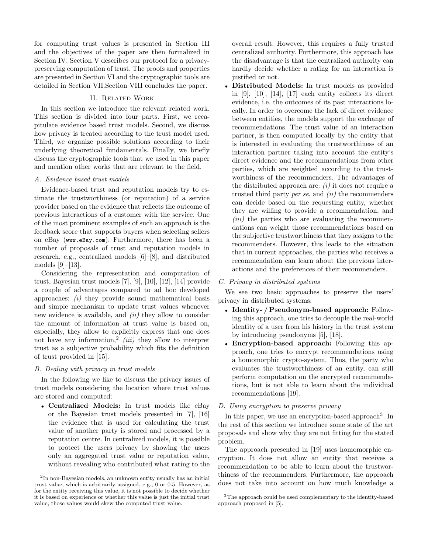for computing trust values is presented in Section III and the objectives of the paper are then formalized in Section IV. Section V describes our protocol for a privacypreserving computation of trust. The proofs and properties are presented in Section VI and the cryptographic tools are detailed in Section VII.Section VIII concludes the paper.

# II. Related Work

In this section we introduce the relevant related work. This section is divided into four parts. First, we recapitulate evidence based trust models. Second, we discuss how privacy is treated according to the trust model used. Third, we organize possible solutions according to their underlying theoretical fundamentals. Finally, we briefly discuss the cryptographic tools that we used in this paper and mention other works that are relevant to the field.

# A. Evidence based trust models

Evidence-based trust and reputation models try to estimate the trustworthiness (or reputation) of a service provider based on the evidence that reflects the outcome of previous interactions of a customer with the service. One of the most prominent examples of such an approach is the feedback score that supports buyers when selecting sellers on eBay (www.eBay.com). Furthermore, there has been a number of proposals of trust and reputation models in research, e.g., centralized models [6]–[8], and distributed models [9]–[13].

Considering the representation and computation of trust, Bayesian trust models [7], [9], [10], [12], [14] provide a couple of advantages compared to ad hoc developed approaches: (i) they provide sound mathematical basis and simple mechanism to update trust values whenever new evidence is available, and *(ii)* they allow to consider the amount of information at trust value is based on, especially, they allow to explicitly express that one does not have any information,<sup>2</sup> *(iii)* they allow to interpret trust as a subjective probability which fits the definition of trust provided in [15].

# B. Dealing with privacy in trust models

In the following we like to discuss the privacy issues of trust models considering the location where trust values are stored and computed:

• Centralized Models: In trust models like eBay or the Bayesian trust models presented in [7], [16] the evidence that is used for calculating the trust value of another party is stored and processed by a reputation centre. In centralized models, it is possible to protect the users privacy by showing the users only an aggregated trust value or reputation value, without revealing who contributed what rating to the overall result. However, this requires a fully trusted centralized authority. Furthermore, this approach has the disadvantage is that the centralized authority can hardly decide whether a rating for an interaction is justified or not.

• Distributed Models: In trust models as provided in  $[9]$ ,  $[10]$ ,  $[14]$ ,  $[17]$  each entity collects its direct evidence, i.e. the outcomes of its past interactions locally. In order to overcome the lack of direct evidence between entities, the models support the exchange of recommendations. The trust value of an interaction partner, is then computed locally by the entity that is interested in evaluating the trustworthiness of an interaction partner taking into account the entity's direct evidence and the recommendations from other parties, which are weighted according to the trustworthiness of the recommenders. The advantages of the distributed approach are:  $(i)$  it does not require a trusted third party *per se*, and  $(ii)$  the recommenders can decide based on the requesting entity, whether they are willing to provide a recommendation, and  $(iii)$  the parties who are evaluating the recommendations can weight those recommendations based on the subjective trustworthiness that they assigns to the recommenders. However, this leads to the situation that in current approaches, the parties who receives a recommendation can learn about the previous interactions and the preferences of their recommenders.

## C. Privacy in distributed systems

We see two basic approaches to preserve the users' privacy in distributed systems:

- Identity- / Pseudonym-based approach: Following this approach, one tries to decouple the real-world identity of a user from his history in the trust system by introducing pseudonyms [5], [18].
- Encryption-based approach: Following this approach, one tries to encrypt recommendations using a homomorphic crypto-system. Thus, the party who evaluates the trustworthiness of an entity, can still perform computation on the encrypted recommendations, but is not able to learn about the individual recommendations [19].

# D. Using encryption to preserve privacy

In this paper, we use an encryption-based approach<sup>3</sup>. In the rest of this section we introduce some state of the art proposals and show why they are not fitting for the stated problem.

The approach presented in [19] uses homomorphic encryption. It does not allow an entity that receives a recommendation to be able to learn about the trustworthiness of the recommenders. Furthermore, the approach does not take into account on how much knowledge a

<sup>2</sup> In non-Bayesian models, an unknown entity usually has an initial trust value, which is arbitrarily assigned, e.g., 0 or 0.5. However, as for the entity receiving this value, it is not possible to decide whether it is based on experience or whether this value is just the initial trust value, those values would skew the computed trust value.

<sup>3</sup>The approach could be used complementary to the identity-based approach proposed in [5].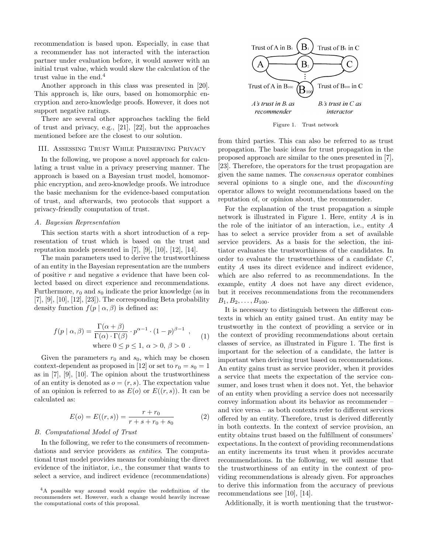recommendation is based upon. Especially, in case that a recommender has not interacted with the interaction partner under evaluation before, it would answer with an initial trust value, which would skew the calculation of the trust value in the end.<sup>4</sup>

Another approach in this class was presented in [20]. This approach is, like ours, based on homomorphic encryption and zero-knowledge proofs. However, it does not support negative ratings.

There are several other approaches tackling the field of trust and privacy, e.g., [21], [22], but the approaches mentioned before are the closest to our solution.

#### III. Assessing Trust While Preserving Privacy

In the following, we propose a novel approach for calculating a trust value in a privacy preserving manner. The approach is based on a Bayesian trust model, homomorphic encryption, and zero-knowledge proofs. We introduce the basic mechanism for the evidence-based computation of trust, and afterwards, two protocols that support a privacy-friendly computation of trust.

## A. Bayesian Representation

This section starts with a short introduction of a representation of trust which is based on the trust and reputation models presented in  $[7]$ ,  $[9]$ ,  $[10]$ ,  $[12]$ ,  $[14]$ .

The main parameters used to derive the trustworthiness of an entity in the Bayesian representation are the numbers of positive r and negative s evidence that have been collected based on direct experience and recommendations. Furthermore,  $r_0$  and  $s_0$  indicate the prior knowledge (as in  $[7], [9], [10], [12], [23]$ . The corresponding Beta probability density function  $f(p | \alpha, \beta)$  is defined as:

$$
f(p \mid \alpha, \beta) = \frac{\Gamma(\alpha + \beta)}{\Gamma(\alpha) \cdot \Gamma(\beta)} \cdot p^{\alpha - 1} \cdot (1 - p)^{\beta - 1} ,
$$
  
where  $0 \le p \le 1, \alpha > 0, \beta > 0$ . (1)

Given the parameters  $r_0$  and  $s_0$ , which may be chosen context-dependent as proposed in [12] or set to  $r_0 = s_0 = 1$ as in  $[7]$ ,  $[9]$ ,  $[10]$ . The opinion about the trustworthiness of an entity is denoted as  $o = (r, s)$ . The expectation value of an opinion is referred to as  $E(o)$  or  $E((r, s))$ . It can be calculated as:

$$
E(o) = E((r, s)) = \frac{r + r_0}{r + s + r_0 + s_0}
$$
 (2)

# B. Computational Model of Trust

In the following, we refer to the consumers of recommendations and service providers as *entities*. The computational trust model provides means for combining the direct evidence of the initiator, i.e., the consumer that wants to select a service, and indirect evidence (recommendations)

<sup>4</sup>A possible way around would require the redefinition of the recommenders set. However, such a change would heavily increase the computational costs of this proposal.



Figure 1. Trust network

from third parties. This can also be referred to as trust propagation. The basic ideas for trust propagation in the proposed approach are similar to the ones presented in [7], [23]. Therefore, the operators for the trust propagation are given the same names. The consensus operator combines several opinions to a single one, and the discounting operator allows to weight recommendations based on the reputation of, or opinion about, the recommender.

For the explanation of the trust propagation a simple network is illustrated in Figure 1. Here, entity A is in the role of the initiator of an interaction, i.e., entity A has to select a service provider from a set of available service providers. As a basis for the selection, the initiator evaluates the trustworthiness of the candidates. In order to evaluate the trustworthiness of a candidate C, entity A uses its direct evidence and indirect evidence, which are also referred to as recommendations. In the example, entity A does not have any direct evidence, but it receives recommendations from the recommenders  $B_1, B_2, \ldots, B_{100}.$ 

It is necessary to distinguish between the different contexts in which an entity gained trust. An entity may be trustworthy in the context of providing a service or in the context of providing recommendations about certain classes of service, as illustrated in Figure 1. The first is important for the selection of a candidate, the latter is important when deriving trust based on recommendations. An entity gains trust as service provider, when it provides a service that meets the expectation of the service consumer, and loses trust when it does not. Yet, the behavior of an entity when providing a service does not necessarily convey information about its behavior as recommender – and vice versa – as both contexts refer to different services offered by an entity. Therefore, trust is derived differently in both contexts. In the context of service provision, an entity obtains trust based on the fulfillment of consumers' expectations. In the context of providing recommendations an entity increments its trust when it provides accurate recommendations. In the following, we will assume that the trustworthiness of an entity in the context of providing recommendations is already given. For approaches to derive this information from the accuracy of previous recommendations see [10], [14].

Additionally, it is worth mentioning that the trustwor-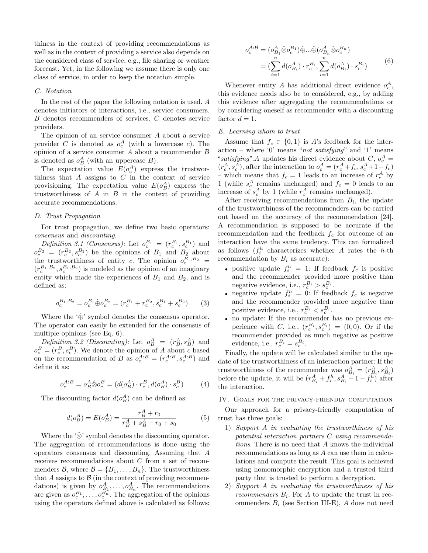thiness in the context of providing recommendations as well as in the context of providing a service also depends on the considered class of service, e.g., file sharing or weather forecast. Yet, in the following we assume there is only one class of service, in order to keep the notation simple.

# C. Notation

In the rest of the paper the following notation is used. A denotes initiators of interactions, i.e., service consumers. B denotes recommenders of services. C denotes service providers.

The opinion of an service consumer A about a service provider C is denoted as  $o_c^A$  (with a lowercase c). The opinion of a service consumer  $A$  about a recommender  $B$ is denoted as  $o_B^A$  (with an uppercase  $B$ ).

The expectation value  $E(o_c^A)$  express the trustworthiness that  $A$  assigns to  $C$  in the context of service provisioning. The expectation value  $E(o_B^A)$  express the trustworthiness of  $A$  in  $B$  in the context of providing accurate recommendations.

# D. Trust Propagation

For trust propagation, we define two basic operators: consensus and discounting.

Definition 3.1 (Consensus): Let  $o_c^{B_1} = (r_c^{B_1}, s_c^{B_1})$  and  $o_c^{B_2} = (r_c^{B_2}, s_c^{B_2})$  be the opinions of  $B_1$  and  $B_2$  about the trustworthiness of entity c. The opinion  $o_c^{B_1,B_2}$  =  $(r_c^{B_1,B_2}, s_c^{B_1,B_2})$  is modeled as the opinion of an imaginary entity which made the experiences of  $B_1$  and  $B_2$ , and is defined as:

$$
o_c^{B_1, B_2} = o_c^{B_1} \hat{\oplus} o_c^{B_2} = (r_c^{B_1} + r_c^{B_2}, s_c^{B_1} + s_c^{B_2}) \tag{3}
$$

Where the  $\langle \hat{\oplus} \rangle$  symbol denotes the consensus operator. The operator can easily be extended for the consensus of multiple opinions (see Eq. 6).

Definition 3.2 (Discounting): Let  $o_B^A = (r_B^A, s_B^A)$  and  $o_c^B = (r_c^B, s_c^B)$ . We denote the opinion of A about c based on the recommendation of B as  $o_c^{A:B} = (r_c^{A:B}, s_c^{A:B})$  and define it as:

$$
o_c^{A:B} = o_B^A \hat{\otimes} o_c^B = (d(o_B^A) \cdot r_c^B, d(o_B^A) \cdot s_c^B)
$$
 (4)

The discounting factor  $d(o_B^A)$  can be defined as:

$$
d(o_B^A) = E(o_B^A) = \frac{r_B^A + r_0}{r_B^A + s_B^A + r_0 + s_0} \tag{5}
$$

Where the ' $\hat{\otimes}$ ' symbol denotes the discounting operator. The aggregation of recommendations is done using the operators consensus and discounting. Assuming that A receives recommendations about  $C$  from a set of recommenders B, where  $\mathcal{B} = \{B_1, \ldots, B_n\}$ . The trustworthiness that A assigns to  $\beta$  (in the context of providing recommendations) is given by  $o_{B_1}^A, \ldots, o_{B_n}^A$ . The recommendations are given as  $o_c^{B_1}, \ldots, o_c^{B_n}$ . The aggregation of the opinions using the operators defined above is calculated as follows:

$$
o_c^{A:B} = (o_{B_1}^A \hat{\otimes} o_c^{B_1}) \hat{\oplus} \dots \hat{\oplus} (o_{B_n}^A \hat{\otimes} o_c^{B_n})
$$
  
= 
$$
(\sum_{i=1}^n d(o_{B_i}^A) \cdot r_c^{B_i}, \sum_{i=1}^n d(o_{B_i}^A) \cdot s_c^{B_i})
$$
(6)

Whenever entity A has additional direct evidence  $o_c^A$ , this evidence needs also be to considered, e.g., by adding this evidence after aggregating the recommendations or by considering oneself as recommender with a discounting factor  $d = 1$ .

# E. Learning whom to trust

Assume that  $f_c \in \{0,1\}$  is A's feedback for the interaction – where '0' means "not satisfying" and '1' means "satisfying".A updates his direct evidence about  $C, o_c^A =$  $(r_c^A, s_c^A)$ , after the interaction to  $o_c^A = (r_c^A + f_c, s_c^A + 1 - f_c)$ – which means that  $f_c = 1$  leads to an increase of  $r_c^A$  by 1 (while  $s_c^A$  remains unchanged) and  $f_c = 0$  leads to an increase of  $s_c^A$  by 1 (while  $r_c^A$  remains unchanged).

After receiving recommendations from  $B_i$ , the update of the trustworthiness of the recommenders can be carried out based on the accuracy of the recommendation [24]. A recommendation is supposed to be accurate if the recommendation and the feedback  $f_c$  for outcome of an interaction have the same tendency. This can formalized as follows  $(f_i^h)$  characterizes whether A rates the h-th recommendation by  $B_i$  as accurate):

- positive update  $f_i^h = 1$ : If feedback  $f_c$  is positive and the recommender provided more positive than negative evidence, i.e.,  $r_c^{B_i} > s_c^{B_i}$ .
- negative update  $f_i^h = 0$ : If feedback  $f_c$  is negative and the recommender provided more negative than positive evidence, i.e.,  $r_c^{B_i} < s_c^{B_i}$ .
- no update: If the recommender has no previous experience with C, i.e.,  $(r_c^{B_i}, s_c^{B_i}) = (0,0)$ . Or if the recommender provided as much negative as positive evidence, i.e.,  $r_c^{B_i} = s_c^{B_i}$ .

Finally, the update will be calculated similar to the update of the trustworthiness of an interaction partner: If the trustworthiness of the recommender was  $o_{B_i}^A = (r_{B_i}^A, s_{B_i}^A)$ before the update, it will be  $(r_{B_i}^A + f_i^h, s_{B_i}^A + 1 - f_i^h)$  after the interaction.

#### IV. Goals for the privacy-friendly computation

Our approach for a privacy-friendly computation of trust has three goals:

- 1) Support A in evaluating the trustworthiness of his potential interaction partners C using recommendations. There is no need that A knows the individual recommendations as long as A can use them in calculations and compute the result. This goal is achieved using homomorphic encryption and a trusted third party that is trusted to perform a decryption.
- 2) Support A in evaluating the trustworthiness of his recommenders  $B_i$ . For A to update the trust in recommenders  $B_i$  (see Section III-E), A does not need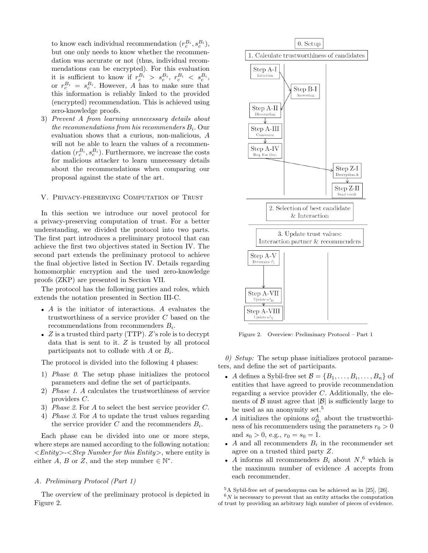to know each individual recommendation  $(r_c^{B_i}, s_c^{B_i}),$ but one only needs to know whether the recommendation was accurate or not (thus, individual recommendations can be encrypted). For this evaluation it is sufficient to know if  $r_c^{B_i} > s_c^{B_i}$ ,  $r_c^{B_i} < s_c^{B_i}$ , or  $r_c^{B_i} = s_c^{B_i}$ . However, A has to make sure that this information is reliably linked to the provided (encrypted) recommendation. This is achieved using zero-knowledge proofs.

3) Prevent A from learning unnecessary details about the recommendations from his recommenders  $B_i$ . Our evaluation shows that a curious, non-malicious, A will not be able to learn the values of a recommendation  $(r_c^{B_i}, s_c^{B_i})$ . Furthermore, we increase the costs for malicious attacker to learn unnecessary details about the recommendations when comparing our proposal against the state of the art.

## V. Privacy-preserving Computation of Trust

In this section we introduce our novel protocol for a privacy-preserving computation of trust. For a better understanding, we divided the protocol into two parts. The first part introduces a preliminary protocol that can achieve the first two objectives stated in Section IV. The second part extends the preliminary protocol to achieve the final objective listed in Section IV. Details regarding homomorphic encryption and the used zero-knowledge proofs (ZKP) are presented in Section VII.

The protocol has the following parties and roles, which extends the notation presented in Section III-C.

- A is the initiator of interactions. A evaluates the trustworthiness of a service provider C based on the recommendations from recommenders  $B_i$ .
- $Z$  is a trusted third party (TTP).  $Z$ 's role is to decrypt data that is sent to it.  $Z$  is trusted by all protocol participants not to collude with  $A$  or  $B_i$ .

The protocol is divided into the following 4 phases:

- 1) Phase 0. The setup phase initializes the protocol parameters and define the set of participants.
- 2) Phase 1. A calculates the trustworthiness of service providers C.
- 3) Phase 2. For A to select the best service provider C.
- 4) Phase 3. For A to update the trust values regarding the service provider C and the recommenders  $B_i$ .

Each phase can be divided into one or more steps, where steps are named according to the following notation:  $\langle Entity \rangle$ - $\langle Step\;Number\;for\;this\;Entity \rangle$ , where entity is either  $A, B$  or  $Z$ , and the step number  $\in \mathbb{N}^*$ .

## A. Preliminary Protocol (Part 1)

The overview of the preliminary protocol is depicted in Figure 2.







Figure 2. Overview: Preliminary Protocol – Part 1

0) Setup: The setup phase initializes protocol parameters, and define the set of participants.

- A defines a Sybil-free set  $\mathcal{B} = \{B_1, \ldots, B_i, \ldots, B_n\}$  of entities that have agreed to provide recommendation regarding a service provider C. Additionally, the elements of  $\beta$  must agree that  $|\beta|$  is sufficiently large to be used as an anonymity set.<sup>5</sup>
- A initializes the opinions  $o_{B_i}^A$  about the trustworthiness of his recommenders using the parameters  $r_0 > 0$ and  $s_0 > 0$ , e.g.,  $r_0 = s_0 = 1$ .
- A and all recommenders  $B_i$  in the recommender set agree on a trusted third party Z.
- A informs all recommenders  $B_i$  about  $N$ ,<sup>6</sup> which is the maximum number of evidence A accepts from each recommender.

<sup>5</sup>A Sybil-free set of pseudonyms can be achieved as in [25], [26].

 $^6{\cal N}$  is necessary to prevent that an entity attacks the computation of trust by providing an arbitrary high number of pieces of evidence.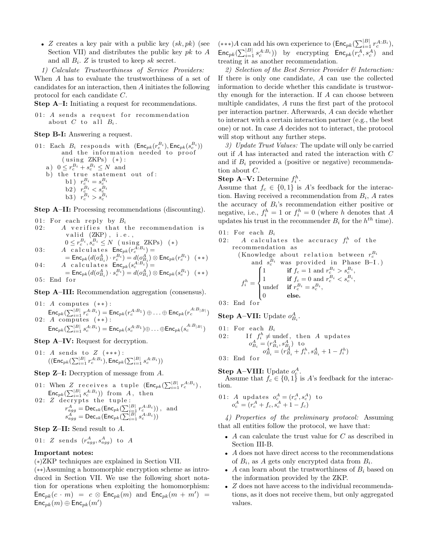• Z creates a key pair with a public key  $(s_k, pk)$  (see Section VII) and distributes the public key  $pk$  to A and all  $B_i$ . Z is trusted to keep sk secret.

1) Calculate Trustworthiness of Service Providers: When A has to evaluate the trustworthiness of a set of candidates for an interaction, then A initiates the following protocol for each candidate C.

Step A–I: Initiating a request for recommendations.

 $01: A$  sends a request for recommendation about  $C$  to all  $B_i$ .

Step B-I: Answering a request.

- 01: Each  $B_i$  responds with  $(\mathsf{Enc}_{pk}(r_c^{B_i}), \mathsf{Enc}_{pk}(s_c^{B_i}))$ and the information needed to proof  $($  using  $ZKPs)$   $(*)$  :
	- a)  $0 \leq r_c^{B_i} + s_c^{B_i} \leq N$  and
	- b) the true statement out of: b1)  $r_c^{B_i} = s_c^{B_i}$ <br>
	b2)  $r_c^{B_i} < s_c^{B_i}$ <br>
	b3)  $r_c^{B_i} > s_c^{B_i}$ 
		-

Step A–II: Processing recommendations (discounting).

01: For each reply by  $B_i$  $02:$  A verifies that the recommendation is valid  $(ZKP)$ , i.e.,  $0 \leq r_c^{B_i}, s_c^{B_i} \leq N$  (using ZKPs)  $(*)$ 03: A calculates  $\mathsf{Enc}_{pk}(r_c^{A:B_i}) =$  $\mathsf{Enc}_{pk}(d(o^A_{B_i}) \cdot r_c^{B_i}) = d(o^A_{B_i}) \otimes \mathsf{Enc}_{pk}(r_c^{B_i})~~(**)$ 04: A calculates  $\mathsf{Enc}_{pk}(s_c^{A:B_i}) =$  $= \mathsf{Enc}_{pk}(d(o_{B_i}^A) \cdot s_c^{B_i}) = d(o_{B_i}^A) \otimes \mathsf{Enc}_{pk}(s_c^{B_i}) \ \ (\ast \ast)$  $05:$  End for

Step A–III: Recommendation aggregation (consensus).

01: A computes  $(**):$  $\mathsf{Enc}_{pk}(\sum_{i=1}^{|B|} r_c^{A:B_i}) = \mathsf{Enc}_{pk}(r_c^{A:B_1}) \oplus \ldots \oplus \mathsf{Enc}_{pk}(r_c^{A:B_{|B|}})$ 02: A computes  $(**):$  $\mathsf{Enc}_{pk}(\sum_{i=1}^{|B|} s_c^{A:B_i}) = \mathsf{Enc}_{pk}(s_c^{A:B_1}) \oplus \ldots \oplus \mathsf{Enc}_{pk}(s_c^{A:B_{|B|}})$ 

Step A–IV: Request for decryption.

01: A sends to  $Z$  (\*\*\*):  $((\mathsf{Enc}_{pk}(\sum_{i=1}^{|B|} r_c^{A:B_i}), \mathsf{Enc}_{pk}(\sum_{i=1}^{|B|} s_c^{A:B_i}))$ 

Step Z–I: Decryption of message from A.

01: When  $Z$  receives a tuple  $(\mathsf{Enc}_{pk}(\sum_{i=1}^{|B|} r_c^{A:B_i})$ ,  $\mathsf{Enc}_{pk}(\sum_{i=1}^{|B|} s_c^{A:B_i})$  from  $A$ , then  $02: Z$  decrypts the tuple:

$$
r_{agg}^A = \textsf{Dec}_{sk}(\textsf{Enc}_{pk}(\sum_{i=1}^{|B|} r_c^{A:B_i}))
$$
, and  

$$
s_{agg}^A = \textsf{Dec}_{sk}(\textsf{Enc}_{pk}(\sum_{i=1}^{|B|} s_c^{A:B_i}))
$$

Step Z–II: Send result to A.

 $01:$  Z sends  $(r_{agg}^A,s_{agg}^A)$  to  $A$ 

# Important notes:

(∗)ZKP techniques are explained in Section VII.

(∗∗)Assuming a homomorphic encryption scheme as introduced in Section VII. We use the following short notation for operations when exploiting the homomorphism:  $\mathsf{Enc}_{pk}(c \cdot m) = c \otimes \mathsf{Enc}_{pk}(m)$  and  $\mathsf{Enc}_{pk}(m + m') =$  $\mathsf{Enc}_{pk}(m) \oplus \mathsf{Enc}_{pk}(m')$ 

 $(**)A$  can add his own experience to  $(\mathsf{Enc}_{pk}(\sum_{i=1}^{|B|} r_c^{A:B_i}),$  $\mathsf{Enc}_{pk}(\sum_{i=1}^{|B|} s_c^{A:B_i})$  by encrypting  $\mathsf{Enc}_{pk}(r_c^A, s_c^A)$  and treating it as another recommendation.

2) Selection of the Best Service Provider & Interaction: If there is only one candidate, A can use the collected information to decide whether this candidate is trustworthy enough for the interaction. If  $A$  can choose between multiple candidates, A runs the first part of the protocol per interaction partner. Afterwards, A can decide whether to interact with a certain interaction partner (e.g., the best one) or not. In case A decides not to interact, the protocol will stop without any further steps.

3) Update Trust Values: The update will only be carried out if A has interacted and rated the interaction with C and if  $B_i$  provided a (positive or negative) recommendation about C.

**Step A–V:** Determine  $f_i^h$ .

Assume that  $f_c \in \{0,1\}$  is A's feedback for the interaction. Having received a recommendation from  $B_i$ , A rates the accuracy of  $B_i$ 's recommendation either positive or negative, i.e.,  $f_i^h = 1$  or  $f_i^h = 0$  (where h denotes that A updates his trust in the recommender  $B_i$  for the  $h^{th}$  time).

```
01: For each B_i
```
02: A calculates the accuracy  $f_i^h$  of the recommendation as (Knowledge about relation between  $r_c^{B_i}$ and  $s_c^{B_i}$  was provided in Phase B-I.)  $f_i^h =$  $\sqrt{ }$  $\int$  $\overline{\mathcal{L}}$ 1 if  $f_c = 1$  and  $r_c^{B_i} > s_c^{B_i}$ , 1 if  $f_c = 0$  and  $r_c^{B_i} < s_c^{B_i}$ , undef if  $r_c^{B_i} = s_c^{B_i}$ , 0 else.

 $03:$  End for

**Step A–VII:** Update  $o_{B_i}^A$ .

01: For each  $B_i$ 02: If  $f$  $h_i^h \neq$  undef, then A updates  $o_{B_i}^A = (r_{B_i}^A, s_{B_i}^A)$  to  $o_{B_i}^A = (r_{B_i}^A + f_i^h, s_{B_i}^A + 1 - f_i^h)$ 

03: End for

Step A-VIII: Update  $o_c^A$ .

Assume that  $f_c \in \{0,1\}$  is A's feedback for the interaction.

01: A updates  $o_c^A = (r_c^A, s_c^A)$  to  $o_c^A = (r_c^A + f_c, s_c^A + 1 - f_c)$ 

4) Properties of the preliminary protocol: Assuming that all entities follow the protocol, we have that:

- A can calculate the trust value for  $C$  as described in Section III-B.
- A does not have direct access to the recommendations of  $B_i$ , as A gets only encrypted data from  $B_i$ .
- A can learn about the trustworthiness of  $B_i$  based on the information provided by the ZKP.
- Z does not have access to the individual recommendations, as it does not receive them, but only aggregated values.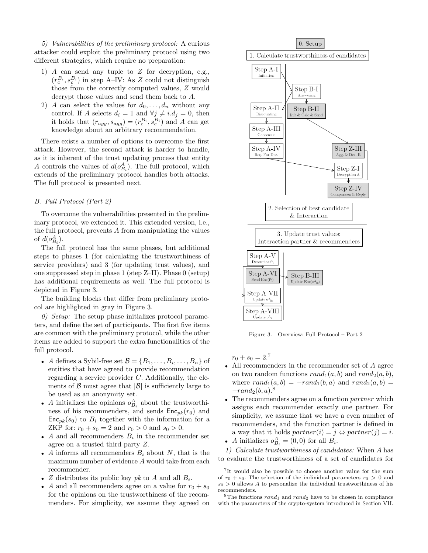5) Vulnerabilities of the preliminary protocol: A curious attacker could exploit the preliminary protocol using two different strategies, which require no preparation:

- 1)  $A$  can send any tuple to  $Z$  for decryption, e.g.,  $(r_c^{B_i}, s_c^{B_i})$  in step A–IV: As Z could not distinguish those from the correctly computed values, Z would decrypt those values and send them back to A.
- 2) A can select the values for  $d_0, \ldots, d_n$  without any control. If A selects  $d_i = 1$  and  $\forall j \neq i.d_j = 0$ , then it holds that  $(r_{agg}, s_{agg}) = (r_c^{B_i}, s_c^{B_i})$  and A can get knowledge about an arbitrary recommendation.

There exists a number of options to overcome the first attack. However, the second attack is harder to handle, as it is inherent of the trust updating process that entity A controls the values of  $d(o_{B_i}^A)$ . The full protocol, which extends of the preliminary protocol handles both attacks. The full protocol is presented next.

## B. Full Protocol (Part 2)

To overcome the vulnerabilities presented in the preliminary protocol, we extended it. This extended version, i.e., the full protocol, prevents A from manipulating the values of  $d(o_{B_i}^A)$ .

The full protocol has the same phases, but additional steps to phases 1 (for calculating the trustworthiness of service providers) and 3 (for updating trust values), and one suppressed step in phase 1 (step Z–II). Phase 0 (setup) has additional requirements as well. The full protocol is depicted in Figure 3.

The building blocks that differ from preliminary protocol are highlighted in gray in Figure 3.

0) Setup: The setup phase initializes protocol parameters, and define the set of participants. The first five items are common with the preliminary protocol, while the other items are added to support the extra functionalities of the full protocol.

- A defines a Sybil-free set  $\mathcal{B} = \{B_1, \ldots, B_i, \ldots, B_n\}$  of entities that have agreed to provide recommendation regarding a service provider  $C$ . Additionally, the elements of  $\beta$  must agree that  $|\beta|$  is sufficiently large to be used as an anonymity set.
- A initializes the opinions  $o_{B_i}^A$  about the trustworthiness of his recommenders, and sends  $Enc_{pk}(r_0)$  and  $Enc_{pk}(s_0)$  to  $B_i$  together with the information for a ZKP for:  $r_0 + s_0 = 2$  and  $r_0 > 0$  and  $s_0 > 0$ .
- A and all recommenders  $B_i$  in the recommender set agree on a trusted third party Z.
- A informs all recommenders  $B_i$  about N, that is the maximum number of evidence A would take from each recommender.
- $Z$  distributes its public key  $pk$  to  $A$  and all  $B_i$ .
- A and all recommenders agree on a value for  $r_0 + s_0$ for the opinions on the trustworthiness of the recommenders. For simplicity, we assume they agreed on



Figure 3. Overview: Full Protocol – Part 2

 $r_0 + s_0 = 2^{7}$ 

- All recommenders in the recommender set of  $A$  agree on two random functions  $rand_1(a, b)$  and  $rand_2(a, b)$ , where  $rand_1(a, b) = -rand_1(b, a)$  and  $rand_2(a, b) =$  $-rand_2(b,a).<sup>8</sup>$
- The recommenders agree on a function  $partner$  which assigns each recommender exactly one partner. For simplicity, we assume that we have a even number of recommenders, and the function partner is defined in a way that it holds  $partner(i) = j \Leftrightarrow partner(j) = i$ .
- A initializes  $o_{B_i}^A = (0,0)$  for all  $B_i$ .

1) Calculate trustworthiness of candidates: When A has to evaluate the trustworthiness of a set of candidates for

 ${}^{8}$ The functions  $rand_1$  and  $rand_2$  have to be chosen in compliance with the parameters of the crypto-system introduced in Section VII.

<sup>7</sup> It would also be possible to choose another value for the sum of  $r_0 + s_0$ . The selection of the individual parameters  $r_0 > 0$  and  $s_0 > 0$  allows A to personalize the individual trustworthiness of his recommenders.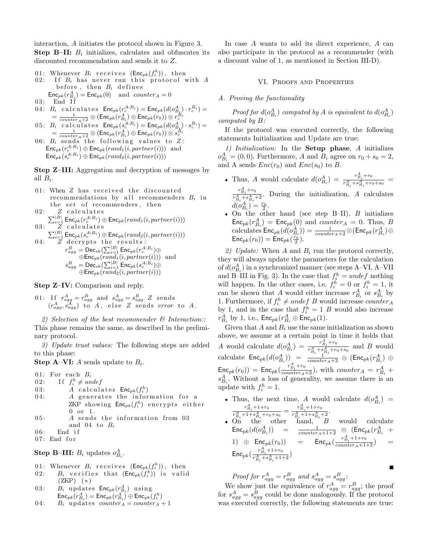interaction, A initiates the protocol shown in Figure 3. **Step B-II:**  $B_i$  initializes, calculates and obfuscates its discounted recommendation and sends it to Z.

- 01: Whenever  $B_i$  receives  $(\mathsf{Enc}_{pk}(f_i^h))$ , then
- 02: If  $B_i$  has never run this protocol with  $A$ before, then  $B_i$  defines
- $\mathsf{Enc}_{pk}(r_{B_i}^A) = \mathsf{Enc}_{pk}(0)$  and  $counter_A = 0$  $03:$  End If
- 04:  $B_i$  calculates  $\mathsf{Enc}_{pk}(r_c^{A:B_i}) = \mathsf{Enc}_{pk}(d(o_{B_i}^A) \cdot r_c^{B_i}) =$  $=\frac{1}{counter_A+2}\otimes(\mathsf{Enc}_{pk}(r_{B_i}^A)\oplus \mathsf{Enc}_{pk}(r_0))\otimes r_c^{B_i}$
- 05:  $B_i$  calculates  $\mathsf{Enc}_{pk}(s_c^{A:B_i}) = \mathsf{Enc}_{pk}(d(o_{B_i}^A) \cdot s_c^{B_i}) =$  $=\frac{1}{counter_A+2}\otimes(\mathsf{Enc}_{pk}(r_{B_i}^A)\oplus \mathsf{Enc}_{pk}(r_0))\otimes s_c^{B_i}$ <br>06:  $B_i$  sends the following values to Z:
- $\mathsf{Enc}_{pk}(r_c^{A:B_i}) \oplus \mathsf{Enc}_{pk}(rand_1(i, partner(i)))$  and  $\mathsf{Enc}_{pk}(s_c^{A:B_i}) \oplus \mathsf{Enc}_{pk}(rand_2(i,partner(i)))$

Step Z–III: Aggregation and decryption of messages by all  $B_i$ .

- 01: When  $Z$  has received the discounted recommendations by all recommenders  $B_i$  in the set of recommenders, then
- $02: Z$  calculates  $\sum_{i=1}^{|B|}\mathsf{Enc}_{pk}(r_{c}^{A:B_i}) \oplus \mathsf{Enc}_{pk}(rand_1(i,partner(i)))$

03: 
$$
\overline{Z}
$$
 calculates  

$$
\sum_{i=1}^{|B|} \text{Enc}_{pk}(s_c^{A:B_i}) \oplus \text{Enc}_{pk}(rand_2(i, partner(i)))
$$

04: 
$$
r_{agg}^B = \text{Dec}_{sk}(\sum_{i=1}^{|B|} \text{Enc}_{pk}(r_c^{A:B_i}) \oplus \text{Enc}_{pk}(r_{c}^{A:B_i})
$$

$$
+ \text{Enc}_{pk}(rand_1(i, partner(i)))
$$
and
$$
s_{agg}^B = \text{Dec}_{sk}(\sum_{i=1}^{|B|} \text{Enc}_{pk}(s_c^{A:B_i}) \oplus \text{Enc}_{pk}(rand_2(i, partner(i)))
$$

Step Z–IV: Comparison and reply.

01: If  $r_{agg}^A = r_{agg}^B$  and  $s_{agg}^A = s_{agg}^B$  Z sends  $(r_{agg}^A, s_{agg}^A)$  to A, else Z sends error to A.

2) Selection of the best recommender & Interaction:: This phase remains the same, as described in the preliminary protocol.

3) Update trust values: The following steps are added to this phase:

**Step A–VI:** A sends update to  $B_i$ .

01: For each  $B_i$ 

- 02: If  $f_i^h \neq \text{undef}$
- 03: A calculates  $\mathsf{Enc}_{pk}(f_i^h)$  $04:$  A generates the information for a
- ZKP showing  $\mathsf{Enc}_{pk}(f_i^h)$  encrypts either  $0$  or  $1$ .  $05:$  A sends the information from  $03$
- and 04 to  $B_i$ 06: End if
- $07:$  End for

**Step B-III:**  $B_i$  updates  $o_{B_i}^A$ .

- 01: Whenever  $B_i$  receives  $(\mathsf{Enc}_{pk}(f_i^h))$ , then
- 02:  $B_i$  verifies that  $(\mathsf{Enc}_{pk}(f_i^h))$  is valid  $(ZKP)$   $(*)$
- 03:  $B_i$  updates  $\mathsf{Enc}_{pk}(r_{B_i}^A)$  using  $\mathsf{Enc}_{pk}(r_{B_i}^A) = \mathsf{Enc}_{pk}(r_{B_i}^A) \oplus \mathsf{Enc}_{pk}(f_i^h)$
- 04:  $B_i$  updates counter<sub>A</sub> = counter<sub>A</sub> + 1

In case A wants to add its direct experience, A can also participate in the protocol as a recommender (with a discount value of 1, as mentioned in Section III-D).

## VI. Proofs and Properties

# A. Proving the functionality

Proof for  $d(o_{B_i}^A)$  computed by A is equivalent to  $d(o_{B_i}^A)$ computed by B:

If the protocol was executed correctly, the following statements Initialization and Update are true:

1) Initialization: In the Setup phase, A initializes  $o_{B_i}^A = (0,0)$ . Furthermore, A and  $B_i$  agree on  $r_0 + s_0 = 2$ , and A sends  $Enc(r_0)$  and  $Enc(s_0)$  to B.

- Thus, A would calculate  $d(\rho_{B_i}^A) = \frac{r_{B_i}^A + r_0}{r_B^A + s_B^A + r_0}$  $\frac{r_{B_i}+r_0}{r_{B_i}^A+s_{B_i}^A+r_0+s_0}$  =  $r_{B_i}^A+r_0$  $\frac{B_i + B_j}{B_i + s_{B_i}^2 + 2}$ . During the initialization, A calculates
- $d(o_{B_i}^A) = \frac{r_0}{2}.$ • On the other hand (see step B–II),  $B$  initializes
- $\mathsf{Enc}_{pk}(r_{B_i}^A) = \mathsf{Enc}_{pk}(0)$  and  $counter_A = 0$ . Thus, B  $\text{calculate} \, \mathsf{Enc}_{pk}(d(o^A_{B_i})) = \frac{1}{counter_A + 2} \otimes (\mathsf{Enc}_{pk}(r^A_{B_i}) \oplus$  $\mathsf{Enc}_{pk}(r_0) = \mathsf{Enc}_{pk}(\frac{r_0}{2}).$

2) Update: When A and  $B_i$  run the protocol correctly, they will always update the parameters for the calculation of  $d(o_{B_i}^A)$  in a synchronized manner (see steps A–VI, A–VII and B-III in Fig. 3). In the case that  $f_i^h = undef$  nothing will happen. In the other cases, i.e.  $f_i^h = 0$  or  $f_i^h = 1$ , it can be shown that A would either increase  $r_{B_i}^A$  or  $s_{B_i}^A$  by 1. Furthermore, if  $f_i^h \neq unde \{f\} B$  would increase  $counter_A$ by 1, and in the case that  $f_i^h = 1$  B would also increase  $r^{A}_{B_{i}}$  by 1, i.e.,  $\mathsf{Enc}_{pk}(r^{A}_{B_{i}} \oplus \mathsf{Enc}_{pk}(1).$ 

Given that  $A$  and  $B_i$  use the same initialization as shown above, we assume at a certain point in time it holds that A would calculate  $d(o_{B_i}^A) = \frac{r_{B_i}^A + r_0}{r_B^A + s_B^A + r_0^A}$  $\frac{B_i + r_0}{r_{B_i}^A + s_{B_i}^A + r_0 + s_0}$  and B would calculate  $\mathsf{Enc}_{pk}(d(o_{B_i}^A)) = \frac{1}{counter_A+2} \otimes (\mathsf{Enc}_{pk}(r_{B_i}^A) \oplus$  $\textsf{Enc}_{pk}(r_0)$ ) =  $\textsf{Enc}_{pk}(\frac{r_{B_i}^A+r_0}{counter_A+2})$ , with counter<sub>A</sub> =  $r_{B_i}^A$  +  $s_{B_i}^A$ . Without a loss of generality, we assume there is an update with  $f_i^h = 1$ .

- Thus, the next time, A would calculate  $d(\rho_{B_i}^A)$  =  $r_{B_i}^A$ +1+ $r_0$  $\frac{r_{B_i}^A+1+r_0}{r_{B_i}^A+1+s_{B_i}^A+r_0+s_0} = \frac{r_{B_i}^A+1+r_0}{r_{B_i}^A+1+s_{B_i}^A}$  $\frac{B_i}{r_{B_i}^A+1+s_{B_i}^A+2}$ .
- $\overrightarrow{On}$  the other hand, *B* would calculate  $\mathsf{Enc}_{pk}(d(o_{B_i}^A)) = \frac{1}{counter_A+1+2} \otimes (\mathsf{Enc}_{pk}(r_{B_i}^A +$ 1) ⊕  $Enc_{pk}(r_0)$  =  $Enc_{pk}(\frac{r_{B_i}^A + 1 + r_0}{counter_A + 1 + 2})$  = Enc<sub>pk</sub> $\left(\frac{r_{B_i}^A + 1 + r_0}{r^A + s^A + 1}\right)$  $\frac{B_i}{r_{B_i}^A + s_{B_i}^A + 1 + 2}$

 $\blacksquare$ 

Proof for  $r_{agg}^A = r_{agg}^B$  and  $s_{agg}^A = s_{agg}^B$ :

We show just the equivalence of  $r_{agg}^A = r_{agg}^B$ ; the proof for  $s_{agg}^A = s_{agg}^B$  could be done analogously. If the protocol was executed correctly, the following statements are true: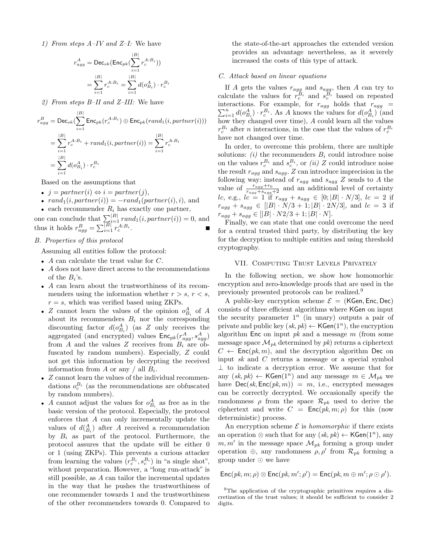1) From steps  $A-IV$  and  $Z-I$ : We have

$$
r_{agg}^{A} = \text{Dec}_{sk}(\text{Enc}_{pk}(\sum_{i=1}^{|B|} r_c^{A:B_i}))
$$
  
= 
$$
\sum_{i=1}^{|B|} r_c^{A:B_i} = \sum_{i=1}^{|B|} d(o_{B_i}^{A}) \cdot r_c^{B_i}
$$

2) From steps B–II and Z–III: We have

$$
r_{agg}^B = \text{Dec}_{sk}(\sum_{i=1}^{|B|} \text{Enc}_{pk}(r_c^{A:B_i}) \oplus \text{Enc}_{pk}(rand_1(i, partner(i)))
$$
  

$$
= \sum_{i=1}^{|B|} r_c^{A:B_i} + rand_1(i, partner(i)) = \sum_{i=1}^{|B|} r_c^{A:B_i}
$$
  

$$
= \sum_{i=1}^{|B|} d(o_{B_i}^A) \cdot r_c^{B_i}
$$

Based on the assumptions that

- $j = partner(i) \Leftrightarrow i = partner(j),$
- $rand_1(i, partner(i)) = -rand_1(partner(i), i)$ , and
- each recommender  $R_i$  has exactly one partner,

one can conclude that  $\sum_{i=1}^{|B|} rand_1(i, partner(i)) = 0$ , and thus it holds  $r_{agg}^B = \sum_{i=1}^{\overline{|B|}} r_c^{A:B_i}$ .

# B. Properties of this protocol

Assuming all entities follow the protocol:

- $A$  can calculate the trust value for  $C$ .
- A does not have direct access to the recommendations of the  $B_i$ 's.
- A can learn about the trustworthiness of its recommenders using the information whether  $r > s$ ,  $r < s$ ,  $r = s$ , which was verified based using ZKPs.
- Z cannot learn the values of the opinion  $o_{B_i}^A$  of A about its recommenders  $B_i$  nor the corresponding discounting factor  $d(o_{B_i}^A)$  (as Z only receives the aggregated (and encrypted) values  $\mathsf{Enc}_{pk}(r_{agg}^A, s_{agg}^A)$ from A and the values Z receives from  $B_i$  are obfuscated by random numbers). Especially, Z could not get this information by decrypting the received information from A or any  $/$  all  $B_i$ .
- Z cannot learn the values of the individual recommendations  $o_c^{B_i}$  (as the recommendations are obfuscated by random numbers).
- A cannot adjust the values for  $o_{B_i}^A$  as free as in the basic version of the protocol. Especially, the protocol enforces that A can only incrementally update the values of  $d_{B_i}^A$ ) after A received a recommendation by  $B_i$  as part of the protocol. Furthermore, the protocol assures that the update will be either 0 or 1 (using ZKPs). This prevents a curious attacker from learning the values  $(r_c^{B_i}, s_c^{B_i})$  in "a single shot", without preparation. However, a "long run-attack" is still possible, as A can tailor the incremental updates in the way that he pushes the trustworthiness of one recommender towards 1 and the trustworthiness of the other recommenders towards 0. Compared to

the state-of-the-art approaches the extended version provides an advantage nevertheless, as it severely increased the costs of this type of attack.

# C. Attack based on linear equations

If A gets the values  $r_{agg}$  and  $s_{agg}$ , then A can try to calculate the values for  $r_c^{\bar{B}_i}$  and  $s_c^{\bar{B}_i}$  based on repeated interactions. For example, for  $r_{agg}$  holds that  $r_{agg}$  =  $\sum_{i=1}^{n} d(o_{B_i}^A) \cdot r_c^{B_i}$ . As A knows the values for  $d(o_{B_i}^A)$  (and how they changed over time), A could learn all the values  $r_c^{B_i}$  after *n* interactions, in the case that the values of  $r_c^{B_i}$ have not changed over time.

In order, to overcome this problem, there are multiple solutions: *(i)* the recommenders  $B_i$  could introduce noise on the values  $r_c^{B_i}$  and  $s_c^{B_i}$ , or *(ii)* Z could introduce noise the result  $r_{agg}$  and  $s_{agg}$ . Z can introduce imprecision in the following way: instead of  $r_{agg}$  and  $s_{agg}$  Z sends to A the value of  $\frac{r_{agg}+r_0}{r_{agg}+s_{agg}+2}$  and an additional level of certainty lc, e.g.,  $lc = 1$  if  $r_{agg} + s_{agg} \in [0; |B| \cdot N/3], lc = 2$  if  $r_{agg} + s_{agg} \in [|B| \cdot \tilde{N}/3 + 1; |B| \cdot 2N/3],$  and  $lc = 3$  if  $r_{agg} + s_{agg} \in [|B| \cdot N2/3 + 1; |B| \cdot N].$ 

Finally, we can state that one could overcome the need for a central trusted third party, by distributing the key for the decryption to multiple entities and using threshold cryptography.

#### VII. Computing Trust Levels Privately

In the following section, we show how homomorhic encryption and zero-knowledge proofs that are used in the previously presented protocols can be realized.<sup>9</sup>

A public-key encryption scheme  $\mathcal{E} = (KGen, Enc, Dec)$ consists of three efficient algorithms where KGen on input the security parameter  $1^n$  (in unary) outputs a pair of private and public key  $(sk, pk) \leftarrow \mathsf{KGen}(1^n)$ , the encryption algorithm  $Enc$  on input  $pk$  and a message  $m$  (from some message space  $\mathcal{M}_{pk}$  determined by  $pk$ ) returns a ciphertext  $C \leftarrow \mathsf{Enc}(pk, m)$ , and the decryption algorithm Dec on input sk and C returns a message or a special symbol ⊥ to indicate a decryption error. We assume that for any  $(sk, pk) \leftarrow \textsf{KGen}(1^n)$  and any message  $m \in \mathcal{M}_{pk}$  we have  $Dec(sk, Enc(pk, m)) = m$ , i.e., encrypted messages can be correctly decrypted. We occasionally specify the randomness  $\rho$  from the space  $\mathcal{R}_{pk}$  used to derive the ciphertext and write  $C = \text{Enc}(pk, m; \rho)$  for this (now deterministic) process.

An encryption scheme  $\mathcal E$  is *homomorphic* if there exists an operation ⊗ such that for any  $(sk, pk) \leftarrow \mathsf{KGen}(1^n)$ , any  $m, m'$  in the message space  $\mathcal{M}_{pk}$  forming a group under operation  $\oplus$ , any randomness  $\rho, \rho'$  from  $\mathcal{R}_{pk}$  forming a group under  $\odot$  we have

 $\mathsf{Enc}(pk, m; \rho) \otimes \mathsf{Enc}(pk, m'; \rho') = \mathsf{Enc}(pk, m \oplus m'; \rho \odot \rho').$ 

<sup>9</sup>The application of the cryptographic primitives requires a discretization of the trust values; it should be sufficient to consider 2 digits.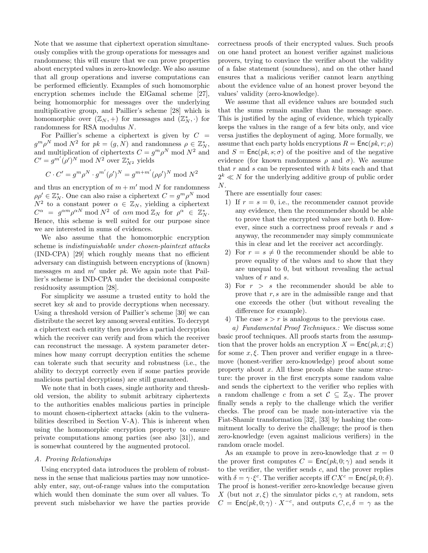Note that we assume that ciphertext operation simultaneously complies with the group operations for messages and randomness; this will ensure that we can prove properties about encrypted values in zero-knowledge. We also assume that all group operations and inverse computations can be performed efficiently. Examples of such homomorphic encryption schemes include the ElGamal scheme [27], being homomorphic for messages over the underlying multiplicative group, and Paillier's scheme [28] which is homomorphic over  $(\mathbb{Z}_N, +)$  for messages and  $(\mathbb{Z}_N^*, \cdot)$  for randomness for RSA modulus N.

For Paillier's scheme a ciphertext is given by  $C =$  $g^m \rho^N \mod N^2$  for  $pk = (g, N)$  and randomness  $\rho \in \mathbb{Z}_N^*$ , and multiplication of ciphertexts  $C = g^m \rho^N \text{ mod } N^2$  and  $C' = g^{m'}(\rho')^N \mod N^2$  over  $\mathbb{Z}_{N^2}^*$  yields

$$
C \cdot C' = g^m \rho^N \cdot g^{m'} (\rho')^N = g^{m+m'} (\rho \rho')^N \text{ mod } N^2
$$

and thus an encryption of  $m + m'$  mod N for randomness  $\rho \rho' \in \mathbb{Z}_N^*$ . One can also raise a ciphertext  $C = g^m \rho^N$  mod  $N^2$  to a constant power  $\alpha \in \mathbb{Z}_N$ , yielding a ciphertext  $C^{\alpha} = g^{\alpha m} \rho^{\alpha N} \bmod N^2$  of  $\alpha m \bmod \mathbb{Z}_N$  for  $\rho^{\alpha} \in \mathbb{Z}_N^*$ . Hence, this scheme is well suited for our purpose since we are interested in sums of evidences.

We also assume that the homomorphic encryption scheme is indistinguishable under chosen-plaintext attacks (IND-CPA) [29] which roughly means that no efficient adversary can distinguish between encryptions of (known) messages m and  $m'$  under pk. We again note that Paillier's scheme is IND-CPA under the decisional composite residuosity assumption [28].

For simplicity we assume a trusted entity to hold the secret key sk and to provide decryptions when necessary. Using a threshold version of Paillier's scheme [30] we can distribute the secret key among several entities. To decrypt a ciphertext each entity then provides a partial decryption which the receiver can verify and from which the receiver can reconstruct the message. A system parameter determines how many corrupt decryption entities the scheme can tolerate such that security and robustness (i.e., the ability to decrypt correctly even if some parties provide malicious partial decryptions) are still guaranteed.

We note that in both cases, single authority and threshold version, the ability to submit arbitrary ciphertexts to the authorities enables malicious parties in principle to mount chosen-ciphertext attacks (akin to the vulnerabilities described in Section V-A). This is inherent when using the homomorphic encryption property to ensure private computations among parties (see also [31]), and is somewhat countered by the augmented protocol.

#### A. Proving Relationships

Using encrypted data introduces the problem of robustness in the sense that malicious parties may now unnoticeably enter, say, out-of-range values into the computation which would then dominate the sum over all values. To prevent such misbehavior we have the parties provide

correctness proofs of their encrypted values. Such proofs on one hand protect an honest verifier against malicious provers, trying to convince the verifier about the validity of a false statement (soundness), and on the other hand ensures that a malicious verifier cannot learn anything about the evidence value of an honest prover beyond the values' validity (zero-knowledge).

We assume that all evidence values are bounded such that the sums remain smaller than the message space. This is justified by the aging of evidence, which typically keeps the values in the range of a few bits only, and vice versa justifies the deployment of aging. More formally, we assume that each party holds encryptions  $R = \mathsf{Enc}(pk, r; \rho)$ and  $S = \text{Enc}(pk, s; \sigma)$  of the positive and of the negative evidence (for known randomness  $\rho$  and  $\sigma$ ). We assume that  $r$  and  $s$  can be represented with  $k$  bits each and that  $2^k \ll N$  for the underlying additive group of public order N.

There are essentially four cases:

- 1) If  $r = s = 0$ , i.e., the recommender cannot provide any evidence, then the recommender should be able to prove that the encrypted values are both 0. However, since such a correctness proof reveals  $r$  and  $s$ anyway, the recommender may simply communicate this in clear and let the receiver act accordingly.
- 2) For  $r = s \neq 0$  the recommender should be able to prove equality of the values and to show that they are unequal to 0, but without revealing the actual values of r and s.
- 3) For  $r > s$  the recommender should be able to prove that  $r, s$  are in the admissible range and that one exceeds the other (but without revealing the difference for example).
- 4) The case  $s > r$  is analogous to the previous case.

a) Fundamental Proof Techniques.: We discuss some basic proof techniques. All proofs starts from the assumption that the prover holds an encryption  $X = \mathsf{Enc}(pk, x; \xi)$ for some  $x, \xi$ . Then prover and verifier engage in a threemove (honest-verifier zero-knowledge) proof about some property about  $x$ . All these proofs share the same structure: the prover in the first encrypts some random value and sends the ciphertext to the verifier who replies with a random challenge c from a set  $\mathcal{C} \subseteq \mathbb{Z}_N$ . The prover finally sends a reply to the challenge which the verifier checks. The proof can be made non-interactive via the Fiat-Shamir transformation [32], [33] by hashing the commitment locally to derive the challenge; the proof is then zero-knowledge (even against malicious verifiers) in the random oracle model.

As an example to prove in zero-knowledge that  $x = 0$ the prover first computes  $C = \mathsf{Enc}(pk, 0; \gamma)$  and sends it to the verifier, the verifier sends  $c$ , and the prover replies with  $\delta = \gamma \cdot \xi^c$ . The verifier accepts iff  $CX^c = \text{Enc}(pk, 0; \delta)$ . The proof is honest-verifier zero-knowledge because given X (but not  $x, \xi$ ) the simulator picks  $c, \gamma$  at random, sets  $C = \mathsf{Enc}(pk, 0; \gamma) \cdot X^{-c}$ , and outputs  $C, c, \delta = \gamma$  as the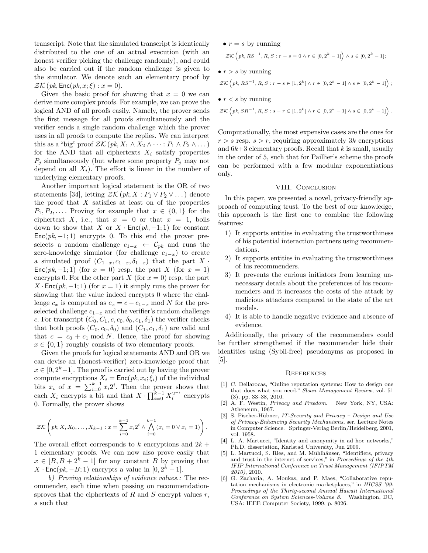transcript. Note that the simulated transcript is identically distributed to the one of an actual execution (with an honest verifier picking the challenge randomly), and could also be carried out if the random challenge is given to the simulator. We denote such an elementary proof by  $\mathcal{ZK}$  (pk, Enc(pk,  $x; \xi$ ) :  $x = 0$ ).

Given the basic proof for showing that  $x = 0$  we can derive more complex proofs. For example, we can prove the logical AND of all proofs easily. Namely, the prover sends the first message for all proofs simultaneously and the verifier sends a single random challenge which the prover uses in all proofs to compute the replies. We can interpret this as a "big" proof  $\mathcal{ZK}(pk, X_1 \wedge X_2 \wedge \cdots : P_1 \wedge P_2 \wedge \cdots)$ for the AND that all ciphertexts  $X_i$  satisfy properties  $P_j$  simultaneously (but where some property  $P_j$  may not depend on all  $X_i$ ). The effort is linear in the number of underlying elementary proofs.

Another important logical statement is the OR of two statements [34], letting  $\mathcal{ZK}(pk, X : P_1 \vee P_2 \vee \dots)$  denote the proof that  $X$  satisfies at least on of the properties  $P_1, P_2, \ldots$  Proving for example that  $x \in \{0, 1\}$  for the ciphertext X, i.e., that  $x = 0$  or that  $x = 1$ , boils down to show that X or  $X \cdot \mathsf{Enc}(pk, -1; 1)$  for constant  $Enc(pk, -1; 1)$  encrypts 0. To this end the prover preselects a random challenge  $c_{1-x} \leftarrow c_{pk}$  and runs the zero-knowledge simulator (for challenge  $c_{1-x}$ ) to create a simulated proof  $(C_{1-x}, c_{1-x}, \delta_{1-x})$  that the part X ·  $\textsf{Enc}(pk, -1; 1)$  (for  $x = 0$ ) resp. the part X (for  $x = 1$ ) encrypts 0. For the other part X (for  $x = 0$ ) resp. the part  $X \cdot \textsf{Enc}(pk, -1; 1)$  (for  $x = 1$ ) it simply runs the prover for showing that the value indeed encrypts 0 where the challenge  $c_x$  is computed as  $c_x = c - c_{1-x} \mod N$  for the preselected challenge  $c_{1-x}$  and the verifier's random challenge c. For transcript  $(C_0, C_1, c, c_0, \delta_0, c_1, \delta_1)$  the verifier checks that both proofs  $(C_0, c_0, \delta_0)$  and  $(C_1, c_1, \delta_1)$  are valid and that  $c = c_0 + c_1 \mod N$ . Hence, the proof for showing  $x \in \{0, 1\}$  roughly consists of two elementary proofs.

Given the proofs for logical statements AND and OR we can devise an (honest-verifier) zero-knowledge proof that  $x \in [0, 2<sup>k</sup>-1]$ . The proof is carried out by having the prover compute encryptions  $X_i = \mathsf{Enc}(pk, x_i; \xi_i)$  of the individual bits  $x_i$  of  $x = \sum_{i=0}^{k-1} x_i 2^i$ . Then the prover shows that each  $X_i$  encrypts a bit and that  $X \cdot \prod_{i=0}^{k-1} X_i^{2^{-i}}$  encrypts 0. Formally, the prover shows

$$
\mathcal{ZK}\left(pk, X, X_0, \dots, X_{k-1} : x = \sum_{i=0}^{k-1} x_i 2^i \wedge \bigwedge_{i=0}^{k-1} (x_i = 0 \vee x_i = 1)\right).
$$

The overall effort corresponds to k encryptions and  $2k +$ 1 elementary proofs. We can now also prove easily that  $x \in [B, B + 2^k - 1]$  for any constant B by proving that  $X \cdot \mathsf{Enc}(pk, -B; 1)$  encrypts a value in  $[0, 2<sup>k</sup> - 1]$ .

b) Proving relationships of evidence values.: The recommender, each time when passing on recommendationsproves that the ciphertexts of  $R$  and  $S$  encrypt values  $r$ , s such that

• 
$$
r = s
$$
 by running  
\n
$$
\mathcal{ZK}\left(pk, RS^{-1}, R, S: r - s = 0 \land r \in [0, 2^k - 1]\right) \land s \in [0, 2^k - 1];
$$

•  $r > s$  by running

$$
\mathcal{ZK}\left(pk, RS^{-1}, R, S:r-s\in[1,2^k]\land r\in[0,2^k-1]\land s\in[0,2^k-1]\right);
$$

•  $r < s$  by running

$$
\mathcal{ZK}\left(pk, SR^{-1}, R, S: s-r \in [1, 2^k] \land r \in [0, 2^k - 1] \land s \in [0, 2^k - 1]\right).
$$

Computationally, the most expensive cases are the ones for  $r > s$  resp.  $s > r$ , requiring approximately 3k encryptions and  $6k+3$  elementary proofs. Recall that k is small, usually in the order of 5, such that for Paillier's scheme the proofs can be performed with a few modular exponentiations only.

#### VIII. Conclusion

In this paper, we presented a novel, privacy-friendly approach of computing trust. To the best of our knowledge, this approach is the first one to combine the following features:

- 1) It supports entities in evaluating the trustworthiness of his potential interaction partners using recommendations.
- 2) It supports entities in evaluating the trustworthiness of his recommenders.
- 3) It prevents the curious initiators from learning unnecessary details about the preferences of his recommenders and it increases the costs of the attack by malicious attackers compared to the state of the art models.
- 4) It is able to handle negative evidence and absence of evidence.

Additionally, the privacy of the recommenders could be further strengthened if the recommender hide their identities using (Sybil-free) pseudonyms as proposed in [5].

#### **REFERENCES**

- [1] C. Dellarocas, "Online reputation systems: How to design one that does what you need." Sloan Management Review, vol. 51 (3), pp. 33–38, 2010.
- [2] A. F. Westin, Privacy and Freedom. New York, NY, USA: Atheneum, 1967.
- [3] S. Fischer-Hübner,  $IT-Security$  and  $Privacy Design$  and Use of Privacy-Enhancing Security Mechanisms, ser. Lecture Notes in Computer Science. Springer-Verlag Berlin/Heidelberg, 2001, vol. 1958.
- [4] L. A. Martucci, "Identity and anonymity in ad hoc networks," Ph.D. dissertation, Karlstad University, Jun 2009.
- [5] L. Martucci, S. Ries, and M. Mühlhäuser, "Identifiers, privacy and trust in the internet of services," in Proceedings of the 4th IFIP International Conference on Trust Management (IFIPTM 2010), 2010.
- [6] G. Zacharia, A. Moukas, and P. Maes, "Collaborative reputation mechanisms in electronic marketplaces," in HICSS '99: Proceedings of the Thirty-second Annual Hawaii International Conference on System Sciences-Volume 8. Washington, DC, USA: IEEE Computer Society, 1999, p. 8026.